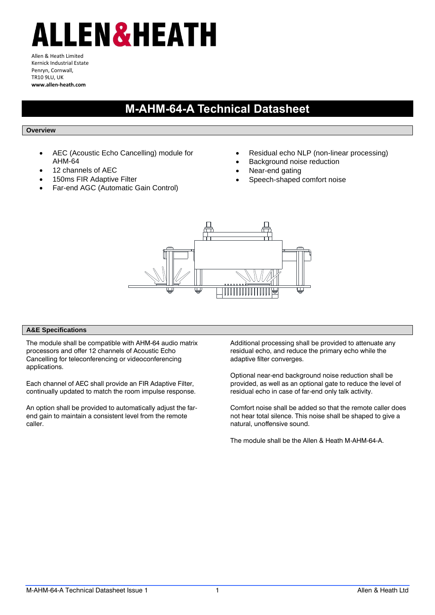## ALLEN&HEATH

Allen & Heath Limited Kernick Industrial Estate Penryn, Cornwall, TR10 9LU, UK **www.allen-heath.com**

## **M-AHM-64-A Technical Datasheet**

## **Overview**

- AEC (Acoustic Echo Cancelling) module for AHM-64
- 12 channels of AEC
- 150ms FIR Adaptive Filter
- Far-end AGC (Automatic Gain Control)
- Residual echo NLP (non-linear processing)
- Background noise reduction
- Near-end gating
- Speech-shaped comfort noise



## **A&E Specifications**

The module shall be compatible with AHM-64 audio matrix processors and offer 12 channels of Acoustic Echo Cancelling for teleconferencing or videoconferencing applications.

Each channel of AEC shall provide an FIR Adaptive Filter, continually updated to match the room impulse response.

An option shall be provided to automatically adjust the farend gain to maintain a consistent level from the remote caller.

Additional processing shall be provided to attenuate any residual echo, and reduce the primary echo while the adaptive filter converges.

Optional near-end background noise reduction shall be provided, as well as an optional gate to reduce the level of residual echo in case of far-end only talk activity.

Comfort noise shall be added so that the remote caller does not hear total silence. This noise shall be shaped to give a natural, unoffensive sound.

The module shall be the Allen & Heath M-AHM-64-A.